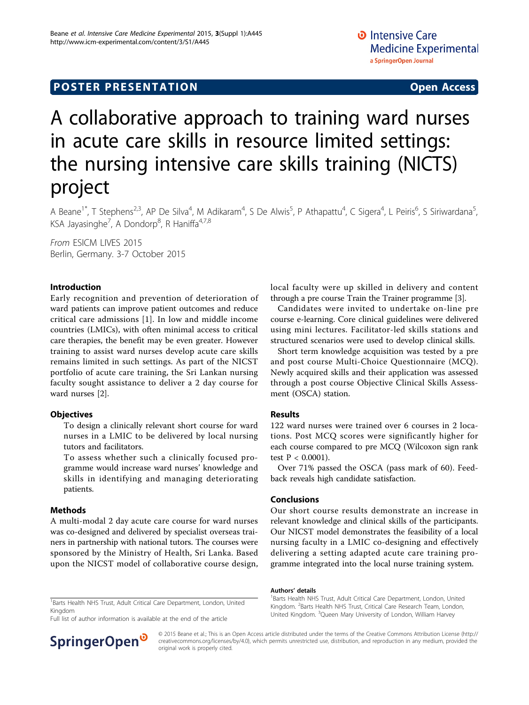## **POSTER PRESENTATION CONSUMING ACCESS**

# A collaborative approach to training ward nurses in acute care skills in resource limited settings: the nursing intensive care skills training (NICTS) project

A Beane<sup>1\*</sup>, T Stephens<sup>2,3</sup>, AP De Silva<sup>4</sup>, M Adikaram<sup>4</sup>, S De Alwis<sup>5</sup>, P Athapattu<sup>4</sup>, C Sigera<sup>4</sup>, L Peiris<sup>6</sup>, S Siriwardana<sup>5</sup> , KSA Jayasinghe<sup>7</sup>, A Dondorp<sup>8</sup>, R Haniffa<sup>4,7,8</sup>

From ESICM LIVES 2015 Berlin, Germany. 3-7 October 2015

## Introduction

Early recognition and prevention of deterioration of ward patients can improve patient outcomes and reduce critical care admissions [\[1](#page-1-0)]. In low and middle income countries (LMICs), with often minimal access to critical care therapies, the benefit may be even greater. However training to assist ward nurses develop acute care skills remains limited in such settings. As part of the NICST portfolio of acute care training, the Sri Lankan nursing faculty sought assistance to deliver a 2 day course for ward nurses [[2\]](#page-1-0).

## **Objectives**

To design a clinically relevant short course for ward nurses in a LMIC to be delivered by local nursing tutors and facilitators.

To assess whether such a clinically focused programme would increase ward nurses' knowledge and skills in identifying and managing deteriorating patients.

## Methods

A multi-modal 2 day acute care course for ward nurses was co-designed and delivered by specialist overseas trainers in partnership with national tutors. The courses were sponsored by the Ministry of Health, Sri Lanka. Based upon the NICST model of collaborative course design, local faculty were up skilled in delivery and content through a pre course Train the Trainer programme [\[3](#page-1-0)].

Candidates were invited to undertake on-line pre course e-learning. Core clinical guidelines were delivered using mini lectures. Facilitator-led skills stations and structured scenarios were used to develop clinical skills.

Short term knowledge acquisition was tested by a pre and post course Multi-Choice Questionnaire (MCQ). Newly acquired skills and their application was assessed through a post course Objective Clinical Skills Assessment (OSCA) station.

## Results

122 ward nurses were trained over 6 courses in 2 locations. Post MCQ scores were significantly higher for each course compared to pre MCQ (Wilcoxon sign rank test  $P < 0.0001$ ).

Over 71% passed the OSCA (pass mark of 60). Feedback reveals high candidate satisfaction.

## Conclusions

Our short course results demonstrate an increase in relevant knowledge and clinical skills of the participants. Our NICST model demonstrates the feasibility of a local nursing faculty in a LMIC co-designing and effectively delivering a setting adapted acute care training programme integrated into the local nurse training system.

<sup>1</sup>Barts Health NHS Trust, Adult Critical Care Department, London, United Kingdom

Full list of author information is available at the end of the article



### Authors' details <sup>1</sup>

<sup>1</sup>Barts Health NHS Trust, Adult Critical Care Department, London, United Kingdom. <sup>2</sup>Barts Health NHS Trust, Critical Care Research Team, London, United Kingdom. <sup>3</sup> Queen Mary University of London, William Harvey

© 2015 Beane et al.; This is an Open Access article distributed under the terms of the Creative Commons Attribution License [\(http://](http://creativecommons.org/licenses/by/4.0) [creativecommons.org/licenses/by/4.0](http://creativecommons.org/licenses/by/4.0)), which permits unrestricted use, distribution, and reproduction in any medium, provided the original work is properly cited.